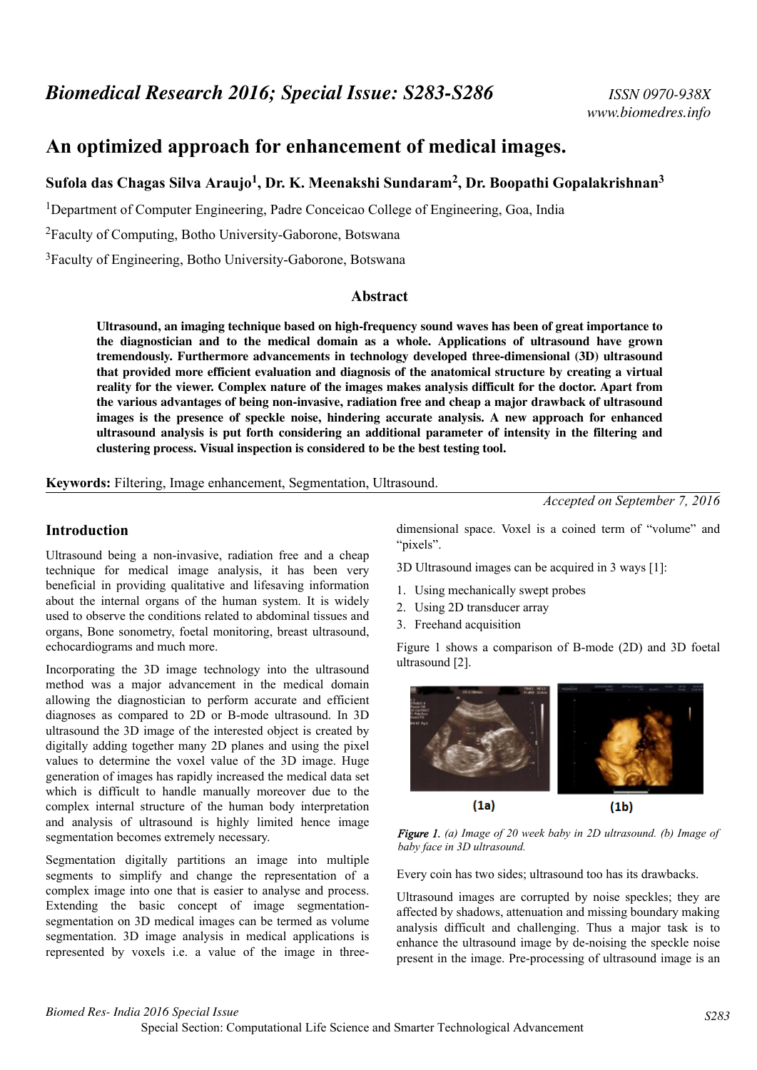# **An optimized approach for enhancement of medical images.**

# **Sufola das Chagas Silva Araujo<sup>1</sup> , Dr. K. Meenakshi Sundaram<sup>2</sup> , Dr. Boopathi Gopalakrishnan<sup>3</sup>**

<sup>1</sup>Department of Computer Engineering, Padre Conceicao College of Engineering, Goa, India

<sup>2</sup>Faculty of Computing, Botho University-Gaborone, Botswana

<sup>3</sup>Faculty of Engineering, Botho University-Gaborone, Botswana

#### **Abstract**

**Ultrasound, an imaging technique based on high-frequency sound waves has been of great importance to the diagnostician and to the medical domain as a whole. Applications of ultrasound have grown tremendously. Furthermore advancements in technology developed three-dimensional (3D) ultrasound that provided more efficient evaluation and diagnosis of the anatomical structure by creating a virtual reality for the viewer. Complex nature of the images makes analysis difficult for the doctor. Apart from the various advantages of being non-invasive, radiation free and cheap a major drawback of ultrasound images is the presence of speckle noise, hindering accurate analysis. A new approach for enhanced ultrasound analysis is put forth considering an additional parameter of intensity in the filtering and clustering process. Visual inspection is considered to be the best testing tool.**

**Keywords:** Filtering, Image enhancement, Segmentation, Ultrasound.

#### **Introduction**

Ultrasound being a non-invasive, radiation free and a cheap technique for medical image analysis, it has been very beneficial in providing qualitative and lifesaving information about the internal organs of the human system. It is widely used to observe the conditions related to abdominal tissues and organs, Bone sonometry, foetal monitoring, breast ultrasound, echocardiograms and much more.

Incorporating the 3D image technology into the ultrasound method was a major advancement in the medical domain allowing the diagnostician to perform accurate and efficient diagnoses as compared to 2D or B-mode ultrasound. In 3D ultrasound the 3D image of the interested object is created by digitally adding together many 2D planes and using the pixel values to determine the voxel value of the 3D image. Huge generation of images has rapidly increased the medical data set which is difficult to handle manually moreover due to the complex internal structure of the human body interpretation and analysis of ultrasound is highly limited hence image segmentation becomes extremely necessary.

Segmentation digitally partitions an image into multiple segments to simplify and change the representation of a complex image into one that is easier to analyse and process. Extending the basic concept of image segmentationsegmentation on 3D medical images can be termed as volume segmentation. 3D image analysis in medical applications is represented by voxels i.e. a value of the image in three*Accepted on September 7, 2016*

dimensional space. Voxel is a coined term of "volume" and "pixels".

3D Ultrasound images can be acquired in 3 ways [1]:

- 1. Using mechanically swept probes
- 2. Using 2D transducer array
- 3. Freehand acquisition

Figure 1 shows a comparison of B-mode (2D) and 3D foetal ultrasound [2].



*Figure 1. (a) Image of 20 week baby in 2D ultrasound. (b) Image of baby face in 3D ultrasound.*

Every coin has two sides; ultrasound too has its drawbacks.

Ultrasound images are corrupted by noise speckles; they are affected by shadows, attenuation and missing boundary making analysis difficult and challenging. Thus a major task is to enhance the ultrasound image by de-noising the speckle noise present in the image. Pre-processing of ultrasound image is an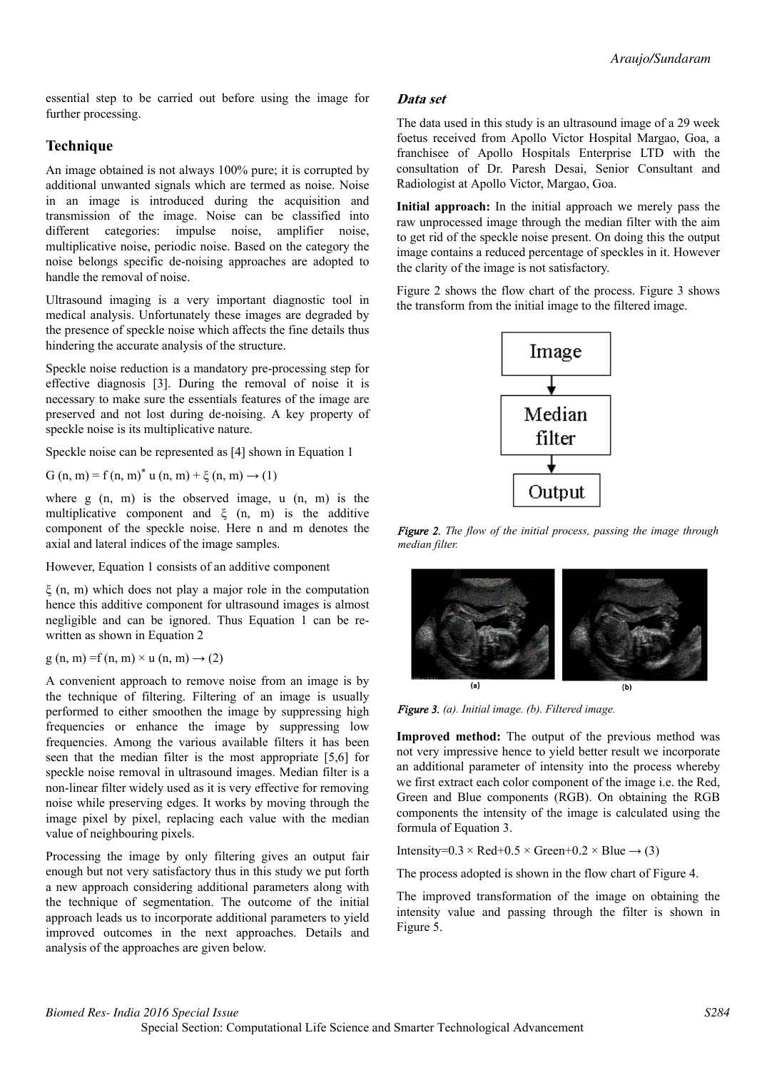essential step to be carried out before using the image for further processing.

# **Technique**

An image obtained is not always 100% pure; it is corrupted by additional unwanted signals which are termed as noise. Noise in an image is introduced during the acquisition and transmission of the image. Noise can be classified into different categories: impulse noise, amplifier noise, multiplicative noise, periodic noise. Based on the category the noise belongs specific de-noising approaches are adopted to handle the removal of noise.

Ultrasound imaging is a very important diagnostic tool in medical analysis. Unfortunately these images are degraded by the presence of speckle noise which affects the fine details thus hindering the accurate analysis of the structure.

Speckle noise reduction is a mandatory pre-processing step for effective diagnosis [3]. During the removal of noise it is necessary to make sure the essentials features of the image are preserved and not lost during de-noising. A key property of speckle noise is its multiplicative nature.

Speckle noise can be represented as [4] shown in Equation 1

G (n, m) = f (n, m)<sup>\*</sup> u (n, m) +  $\xi$  (n, m)  $\to$  (1)

where  $g(n, m)$  is the observed image, u  $(n, m)$  is the multiplicative component and  $\xi$  (n, m) is the additive component of the speckle noise. Here n and m denotes the axial and lateral indices of the image samples.

However, Equation 1 consists of an additive component

ξ (n, m) which does not play a major role in the computation hence this additive component for ultrasound images is almost negligible and can be ignored. Thus Equation 1 can be rewritten as shown in Equation 2

 $g(n, m) = f(n, m) \times u(n, m) \rightarrow (2)$ 

A convenient approach to remove noise from an image is by the technique of filtering. Filtering of an image is usually performed to either smoothen the image by suppressing high frequencies or enhance the image by suppressing low frequencies. Among the various available filters it has been seen that the median filter is the most appropriate [5,6] for speckle noise removal in ultrasound images. Median filter is a non-linear filter widely used as it is very effective for removing noise while preserving edges. It works by moving through the image pixel by pixel, replacing each value with the median value of neighbouring pixels.

Processing the image by only filtering gives an output fair enough but not very satisfactory thus in this study we put forth a new approach considering additional parameters along with the technique of segmentation. The outcome of the initial approach leads us to incorporate additional parameters to yield improved outcomes in the next approaches. Details and analysis of the approaches are given below.

## **Data set**

The data used in this study is an ultrasound image of a 29 week foetus received from Apollo Victor Hospital Margao, Goa, a franchisee of Apollo Hospitals Enterprise LTD with the consultation of Dr. Paresh Desai, Senior Consultant and Radiologist at Apollo Victor, Margao, Goa.

**Initial approach:** In the initial approach we merely pass the raw unprocessed image through the median filter with the aim to get rid of the speckle noise present. On doing this the output image contains a reduced percentage of speckles in it. However the clarity of the image is not satisfactory.

Figure 2 shows the flow chart of the process. Figure 3 shows the transform from the initial image to the filtered image.



*Figure 2. The flow of the initial process, passing the image through median filter.*





**Improved method:** The output of the previous method was not very impressive hence to yield better result we incorporate an additional parameter of intensity into the process whereby we first extract each color component of the image i.e. the Red, Green and Blue components (RGB). On obtaining the RGB components the intensity of the image is calculated using the formula of Equation 3.

Intensity= $0.3 \times$  Red+ $0.5 \times$  Green+ $0.2 \times$  Blue  $\rightarrow$  (3)

The process adopted is shown in the flow chart of Figure 4.

The improved transformation of the image on obtaining the intensity value and passing through the filter is shown in Figure 5.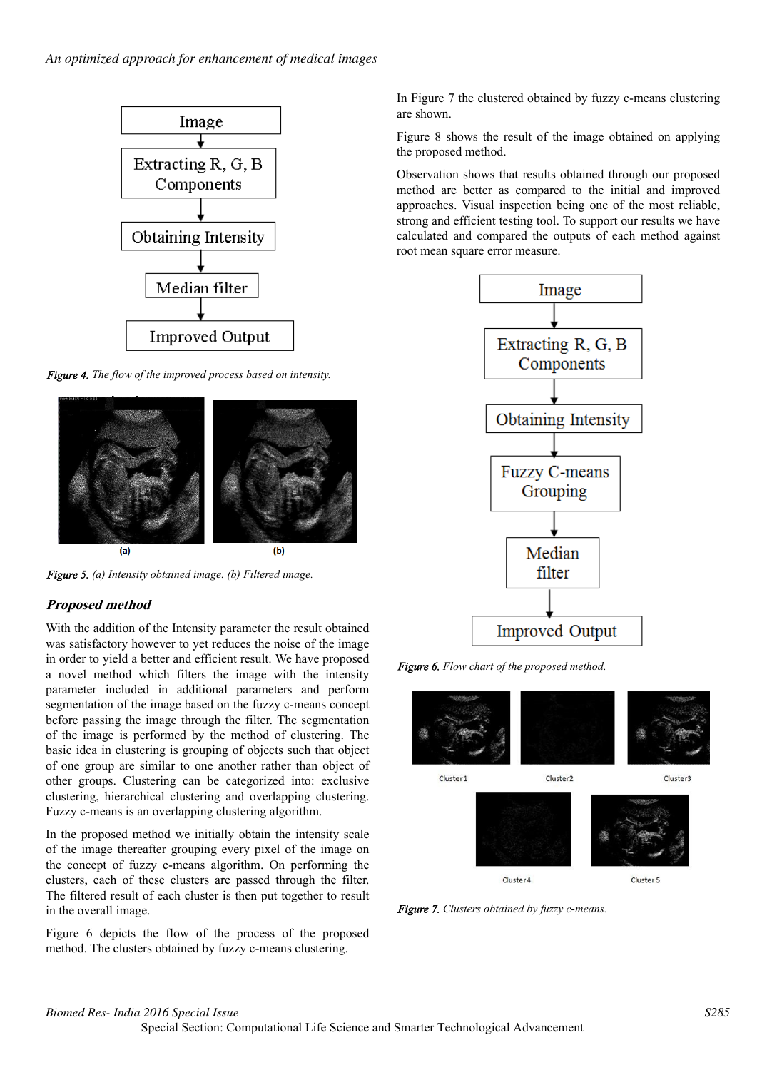

*Figure 4. The flow of the improved process based on intensity.*



*Figure 5. (a) Intensity obtained image. (b) Filtered image.*

# **Proposed method**

With the addition of the Intensity parameter the result obtained was satisfactory however to yet reduces the noise of the image in order to yield a better and efficient result. We have proposed a novel method which filters the image with the intensity parameter included in additional parameters and perform segmentation of the image based on the fuzzy c-means concept before passing the image through the filter. The segmentation of the image is performed by the method of clustering. The basic idea in clustering is grouping of objects such that object of one group are similar to one another rather than object of other groups. Clustering can be categorized into: exclusive clustering, hierarchical clustering and overlapping clustering. Fuzzy c-means is an overlapping clustering algorithm.

In the proposed method we initially obtain the intensity scale of the image thereafter grouping every pixel of the image on the concept of fuzzy c-means algorithm. On performing the clusters, each of these clusters are passed through the filter. The filtered result of each cluster is then put together to result in the overall image.

Figure 6 depicts the flow of the process of the proposed method. The clusters obtained by fuzzy c-means clustering.

In Figure 7 the clustered obtained by fuzzy c-means clustering are shown.

Figure 8 shows the result of the image obtained on applying the proposed method.

Observation shows that results obtained through our proposed method are better as compared to the initial and improved approaches. Visual inspection being one of the most reliable, strong and efficient testing tool. To support our results we have calculated and compared the outputs of each method against root mean square error measure.



*Figure 6. Flow chart of the proposed method.*



*Figure 7. Clusters obtained by fuzzy c-means.*